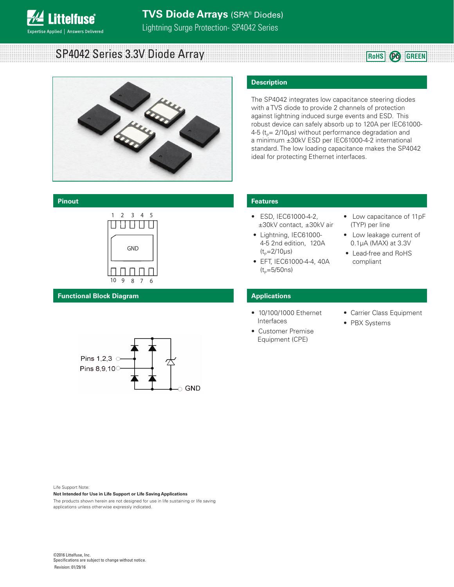

SP4042 Series 3.3V Diode Array **Roughlands Roughlands CREEN** 



## **Pinout**



**Functional Block Diagram**



Life Support Note:

#### **Not Intended for Use in Life Support or Life Saving Applications**

The products shown herein are not designed for use in life sustaining or life saving applications unless otherwise expressly indicated.

#### **Description**

The SP4042 integrates low capacitance steering diodes with a TVS diode to provide 2 channels of protection against lightning induced surge events and ESD. This robust device can safely absorb up to 120A per IEC61000-  $4-5$  ( $t_p$ = 2/10µs) without performance degradation and a minimum ±30kV ESD per IEC61000-4-2 international standard. The low loading capacitance makes the SP4042 ideal for protecting Ethernet interfaces.

#### **Features**

- ESD, IEC61000-4-2, ±30kV contact, ±30kV air
- Lightning, IEC61000- 4-5 2nd edition, 120A  $(t_{p}=2/10 \mu s)$
- EFT, IEC61000-4-4, 40A  $(t_{p}=5/50ns)$
- Low capacitance of 11pF (TYP) per line
- Low leakage current of 0.1μA (MAX) at 3.3V
- Lead-free and RoHS compliant

#### **Applications**

- 10/100/1000 Ethernet Interfaces
- Customer Premise Equipment (CPE)
- Carrier Class Equipment
- PBX Systems

©2016 Littelfuse, Inc. Specifications are subject to change without notice. Revision: 01/29/16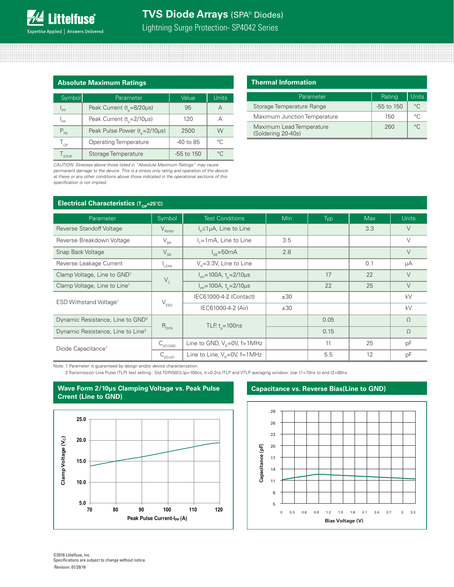### Lightning Surge Protection- SP4042 Series

| <b>Absolute Maximum Ratings</b> |                                                          |              |         |  |
|---------------------------------|----------------------------------------------------------|--------------|---------|--|
| Symbol                          | <b>Units</b><br>Value<br>Parameter                       |              |         |  |
| $I_{\text{pp}}$                 | Peak Current ( $t_{0}$ =8/20µs)                          | 95           | А       |  |
| $I_{\sf pp}$                    | Peak Current ( $t_{n}$ =2/10µs)                          | 120          | д       |  |
| $P_{PR}$                        | Peak Pulse Power (t <sub>p</sub> =2/10µs)                | 2500         | W       |  |
| $T_{OP}$                        | $^{\circ}C$<br><b>Operating Temperature</b><br>-40 to 85 |              |         |  |
| l <sub>STOR</sub>               | Storage Temperature                                      | $-55$ to 150 | $\circ$ |  |

*CAUTION: Stresses above those listed in "Absolute Maximum Ratings" may cause permanent damage to the device. This is a stress only rating and operation of the device at these or any other conditions above those indicated in the operational sections of this specification is not implied.*

| <b>Thermal Information</b> |
|----------------------------|
|                            |

| Parameter                                      | Rating         | Units        |
|------------------------------------------------|----------------|--------------|
| Storage Temperature Range                      | $-55$ to $150$ | $^{\circ}$ C |
| Maximum Junction Temperature                   | 150            | $\circ$      |
| Maximum Lead Temperature<br>(Soldering 20-40s) | 260            | $\circ$      |

**Electrical Characteristics (T<sub>OP</sub>=25<sup>°</sup>C)** 

| Parameter                                     | Symbol                      | <b>Test Conditions</b>                        | <b>Min</b> | Typ  | <b>Max</b> | <b>Units</b> |
|-----------------------------------------------|-----------------------------|-----------------------------------------------|------------|------|------------|--------------|
| <b>Reverse Standoff Voltage</b>               | $V_{RWM}$                   | $I_{B} \leq 1 \mu A$ , Line to Line           |            |      | 3.3        | $\vee$       |
| Reverse Breakdown Voltage                     | $V_{_{\sf BR}}$             | $I_{\tau}$ =1mA, Line to Line                 | 3.5        |      |            | $\vee$       |
| Snap Back Voltage                             | $\rm V_{SB}$                | $I_{\rm{cm}} = 50 \text{mA}$                  | 2.8        |      |            | $\vee$       |
| Reverse Leakage Current                       | $L_{\text{EAK}}$            | $VR=3.3V$ , Line to Line                      |            |      | 0.1        | μA           |
| Clamp Voltage, Line to GND <sup>1</sup>       | $\mathsf{V}_{\rm c}$        | $I_{\text{pp}}$ =100A, t <sub>n</sub> =2/10µs |            | 17   | 22         | $\vee$       |
| Clamp Voltage, Line to Line <sup>1</sup>      |                             | $I_{\text{pp}}$ =100A, t <sub>n</sub> =2/10µs |            | 22   | 25         | V            |
| ESD Withstand Voltage <sup>1</sup>            | $\mathsf{V}_{\texttt{ESD}}$ | IEC61000-4-2 (Contact)                        | ±30        |      |            | kV           |
|                                               |                             | IEC61000-4-2 (Air)                            | ±30        |      |            | kV           |
| Dynamic Resistance, Line to GND <sup>2</sup>  |                             |                                               |            | 0.05 |            | $\Omega$     |
| Dynamic Resistance, Line to Line <sup>2</sup> | $R_{DYN}$                   | TLP, $t_{n} = 100$ ns                         |            | 0.15 |            | $\Omega$     |
| Diode Capacitance <sup>1</sup>                | $C_{\text{IVO-GND}}$        | Line to GND, $V_p=0V$ , f=1MHz                |            | 11   | 25         | pF           |
|                                               | $C_{VO- VO}$                | Line to Line, $V_p=0V$ , f=1MHz               |            | 5.5  | 12         | рF           |

Note: 1 Parameter is guaranteed by design and/or device characterization.

2 Transmission Line Pulse (TLP) test setting : Std.TDR(50Ω),tp=100ns, tr=0.2ns ITLP and VTLP averaging window: star t1=70ns to end t2=80ns



#### **Capacitance vs. Reverse Bias(Line to GND)**

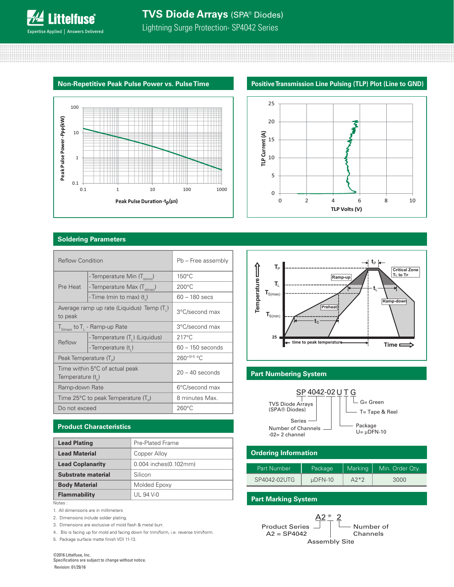Lightning Surge Protection- SP4042 Series

#### **Positive Transmission Line Pulsing (TLP) Plot (Line to GND) Non-Repetitive Peak Pulse Power vs. Pulse Time**



#### **Soldering Parameters**

| <b>Reflow Condition</b>                 |                                          | Pb - Free assembly |  |
|-----------------------------------------|------------------------------------------|--------------------|--|
| - Temperature Min (T <sub>s(min</sub> ) |                                          | $150^{\circ}$ C    |  |
| Pre Heat                                | - Temperature Max (T <sub>s(max)</sub> ) | $200^{\circ}$ C    |  |
|                                         | - Time (min to max) (t)                  | $60 - 180$ secs    |  |
| to peak                                 | Average ramp up rate (Liquidus) Temp (T) | 3°C/second max     |  |
|                                         | $T_{S(max)}$ to $T_{L}$ - Ramp-up Rate   | 3°C/second max     |  |
| Reflow                                  | - Temperature (T,) (Liquidus)            | $217^{\circ}$ C    |  |
|                                         | - Temperature (t,)                       | $60 - 150$ seconds |  |
| Peak Temperature $(T_p)$                |                                          | $260^{+0/5}$ °C    |  |
| Temperature $(t_n)$                     | Time within 5°C of actual peak           | $20 - 40$ seconds  |  |
| Ramp-down Rate                          |                                          | 6°C/second max     |  |
|                                         | Time 25°C to peak Temperature $(T_p)$    | 8 minutes Max.     |  |
| Do not exceed                           |                                          | $260^{\circ}$ C    |  |

#### **Product Characteristics**

| <b>Lead Plating</b>     | Pre-Plated Frame      |
|-------------------------|-----------------------|
| <b>Lead Material</b>    | Copper Alloy          |
| <b>Lead Coplanarity</b> | 0.004 inches(0.102mm) |
| Substrate material      | Silicon               |
| <b>Body Material</b>    | Molded Epoxy          |
| <b>Flammability</b>     | UL 94 V-0             |

Notes :

- 1. All dimensions are in millimeters
- 2. Dimensions include solder plating.
- 3. Dimensions are exclusive of mold flash & metal burr.
- 4.. Blo is facing up for mold and facing down for trim/form, i.e. reverse trim/form.

5. Package surface matte finish VDI 11-13.







#### **Part Numbering System**



#### **Ordering Information**

| Part Number  | Package      | Marking | Min. Order Qty. |
|--------------|--------------|---------|-----------------|
| SP4042-02UTG | $\mu$ DFN-10 | $A2*2$  | 3000            |

#### **Part Marking System**